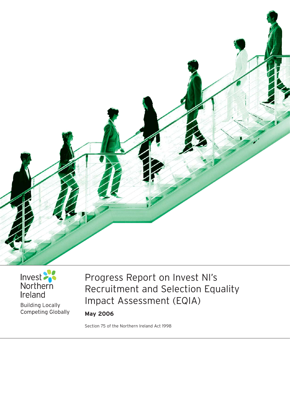

# Invest Ireland

**Building Locally** Competing Globally

# Progress Report on Invest NI's Recruitment and Selection Equality Impact Assessment (EQIA)

**May 2006**

Section 75 of the Northern Ireland Act 1998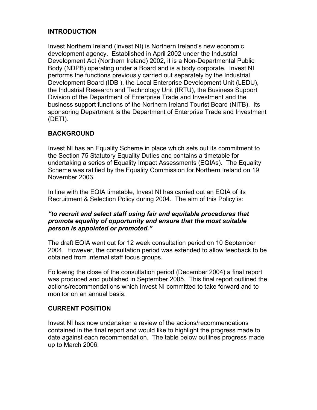### **INTRODUCTION**

Invest Northern Ireland (Invest NI) is Northern Ireland's new economic development agency. Established in April 2002 under the Industrial Development Act (Northern Ireland) 2002, it is a Non-Departmental Public Body (NDPB) operating under a Board and is a body corporate. Invest NI performs the functions previously carried out separately by the Industrial Development Board (IDB ), the Local Enterprise Development Unit (LEDU), the Industrial Research and Technology Unit (IRTU), the Business Support Division of the Department of Enterprise Trade and Investment and the business support functions of the Northern Ireland Tourist Board (NITB). Its sponsoring Department is the Department of Enterprise Trade and Investment (DETI).

## **BACKGROUND**

Invest NI has an Equality Scheme in place which sets out its commitment to the Section 75 Statutory Equality Duties and contains a timetable for undertaking a series of Equality Impact Assessments (EQIAs). The Equality Scheme was ratified by the Equality Commission for Northern Ireland on 19 November 2003.

In line with the EQIA timetable, Invest NI has carried out an EQIA of its Recruitment & Selection Policy during 2004. The aim of this Policy is:

#### *"to recruit and select staff using fair and equitable procedures that promote equality of opportunity and ensure that the most suitable person is appointed or promoted."*

The draft EQIA went out for 12 week consultation period on 10 September 2004. However, the consultation period was extended to allow feedback to be obtained from internal staff focus groups.

Following the close of the consultation period (December 2004) a final report was produced and published in September 2005. This final report outlined the actions/recommendations which Invest NI committed to take forward and to monitor on an annual basis.

#### **CURRENT POSITION**

Invest NI has now undertaken a review of the actions/recommendations contained in the final report and would like to highlight the progress made to date against each recommendation. The table below outlines progress made up to March 2006: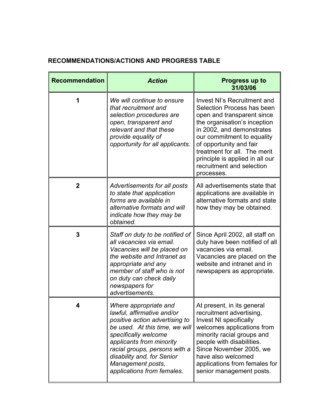# **RECOMMENDATIONS/ACTIONS AND PROGRESS TABLE**

| <b>Recommendation</b> | <b>Action</b>                                                                                                                                                                                                                                                                                 | <b>Progress up to</b><br>31/03/06                                                                                                                                                                                                                                                                                           |
|-----------------------|-----------------------------------------------------------------------------------------------------------------------------------------------------------------------------------------------------------------------------------------------------------------------------------------------|-----------------------------------------------------------------------------------------------------------------------------------------------------------------------------------------------------------------------------------------------------------------------------------------------------------------------------|
| 1                     | We will continue to ensure<br>that recruitment and<br>selection procedures are<br>open, transparent and<br>relevant and that these<br>provide equality of<br>opportunity for all applicants.                                                                                                  | Invest NI's Recruitment and<br>Selection Process has been<br>open and transparent since<br>the organisation's inception<br>in 2002, and demonstrates<br>our commitment to equality<br>of opportunity and fair<br>treatment for all. The merit<br>principle is applied in all our<br>recruitment and selection<br>processes. |
| $\mathbf{2}$          | Advertisements for all posts<br>to state that application<br>forms are available in<br>alternative formats and will<br>indicate how they may be<br>obtained.                                                                                                                                  | All advertisements state that<br>applications are available in<br>alternative formats and state<br>how they may be obtained.                                                                                                                                                                                                |
| 3                     | Staff on duty to be notified of<br>all vacancies via email.<br>Vacancies will be placed on<br>the website and Intranet as<br>appropriate and any<br>member of staff who is not<br>on duty can check daily<br>newspapers for<br>advertisements.                                                | Since April 2002, all staff on<br>duty have been notified of all<br>vacancies via email.<br>Vacancies are placed on the<br>website and intranet and in<br>newspapers as appropriate.                                                                                                                                        |
|                       | Where appropriate and<br>lawful, affirmative and/or<br>positive action advertising to<br>be used. At this time, we will<br>specifically welcome<br>applicants from minority<br>racial groups, persons with a<br>disability and, for Senior<br>Management posts,<br>applications from females. | At present, in its general<br>recruitment advertising,<br><b>Invest NI specifically</b><br>welcomes applications from<br>minority racial groups and<br>people with disabilities.<br>Since November 2005, we<br>have also welcomed<br>applications from females for<br>senior management posts.                              |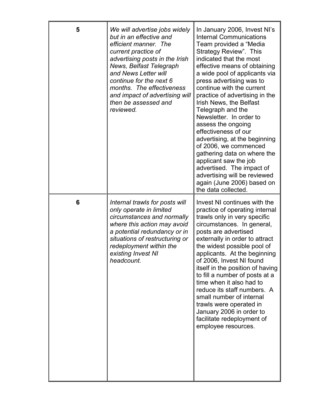| 5 | We will advertise jobs widely<br>but in an effective and<br>efficient manner. The<br>current practice of<br>advertising posts in the Irish<br>News, Belfast Telegraph<br>and News Letter will<br>continue for the next 6<br>months. The effectiveness<br>and impact of advertising will<br>then be assessed and<br>reviewed. | In January 2006, Invest NI's<br><b>Internal Communications</b><br>Team provided a "Media<br>Strategy Review". This<br>indicated that the most<br>effective means of obtaining<br>a wide pool of applicants via<br>press advertising was to<br>continue with the current<br>practice of advertising in the<br>Irish News, the Belfast<br>Telegraph and the<br>Newsletter. In order to<br>assess the ongoing<br>effectiveness of our<br>advertising, at the beginning<br>of 2006, we commenced<br>gathering data on where the<br>applicant saw the job<br>advertised. The impact of<br>advertising will be reviewed<br>again (June 2006) based on<br>the data collected. |
|---|------------------------------------------------------------------------------------------------------------------------------------------------------------------------------------------------------------------------------------------------------------------------------------------------------------------------------|------------------------------------------------------------------------------------------------------------------------------------------------------------------------------------------------------------------------------------------------------------------------------------------------------------------------------------------------------------------------------------------------------------------------------------------------------------------------------------------------------------------------------------------------------------------------------------------------------------------------------------------------------------------------|
| 6 | Internal trawls for posts will<br>only operate in limited<br>circumstances and normally<br>where this action may avoid<br>a potential redundancy or in<br>situations of restructuring or<br>redeployment within the<br>existing Invest NI<br>headcount.                                                                      | Invest NI continues with the<br>practice of operating internal<br>trawls only in very specific<br>circumstances. In general,<br>posts are advertised<br>externally in order to attract<br>the widest possible pool of<br>applicants. At the beginning<br>of 2006, Invest NI found<br>itself in the position of having<br>to fill a number of posts at a<br>time when it also had to<br>reduce its staff numbers. A<br>small number of internal<br>trawls were operated in<br>January 2006 in order to<br>facilitate redeployment of<br>employee resources.                                                                                                             |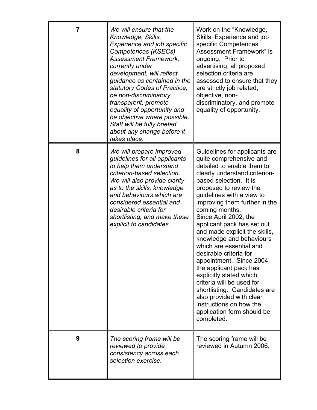| 7 | We will ensure that the<br>Knowledge, Skills,<br><b>Experience and job specific</b><br>Competences (KSECs)<br><b>Assessment Framework,</b><br>currently under<br>development, will reflect<br>guidance as contained in the<br>statutory Codes of Practice,<br>be non-discriminatory,<br>transparent, promote<br>equality of opportunity and<br>be objective where possible.<br>Staff will be fully briefed<br>about any change before it<br>takes place. | Work on the "Knowledge,<br>Skills, Experience and job<br>specific Competences<br><b>Assessment Framework" is</b><br>ongoing. Prior to<br>advertising, all proposed<br>selection criteria are<br>assessed to ensure that they<br>are strictly job related,<br>objective, non-<br>discriminatory, and promote<br>equality of opportunity.                                                                                                                                                                                                                                                                                                                                               |
|---|----------------------------------------------------------------------------------------------------------------------------------------------------------------------------------------------------------------------------------------------------------------------------------------------------------------------------------------------------------------------------------------------------------------------------------------------------------|---------------------------------------------------------------------------------------------------------------------------------------------------------------------------------------------------------------------------------------------------------------------------------------------------------------------------------------------------------------------------------------------------------------------------------------------------------------------------------------------------------------------------------------------------------------------------------------------------------------------------------------------------------------------------------------|
| 8 | We will prepare improved<br>guidelines for all applicants<br>to help them understand<br>criterion-based selection.<br>We will also provide clarity<br>as to the skills, knowledge<br>and behaviours which are<br>considered essential and<br>desirable criteria for<br>shortlisting, and make these<br>explicit to candidates.                                                                                                                           | Guidelines for applicants are<br>quite comprehensive and<br>detailed to enable them to<br>clearly understand criterion-<br>based selection. It is<br>proposed to review the<br>guidelines with a view to<br>improving them further in the<br>coming months.<br>Since April 2002, the<br>applicant pack has set out<br>and made explicit the skills,<br>knowledge and behaviours<br>which are essential and<br>desirable criteria for<br>appointment. Since 2004,<br>the applicant pack has<br>explicitly stated which<br>criteria will be used for<br>shortlisting. Candidates are<br>also provided with clear<br>instructions on how the<br>application form should be<br>completed. |
| 9 | The scoring frame will be<br>reviewed to provide<br>consistency across each<br>selection exercise.                                                                                                                                                                                                                                                                                                                                                       | The scoring frame will be<br>reviewed in Autumn 2006.                                                                                                                                                                                                                                                                                                                                                                                                                                                                                                                                                                                                                                 |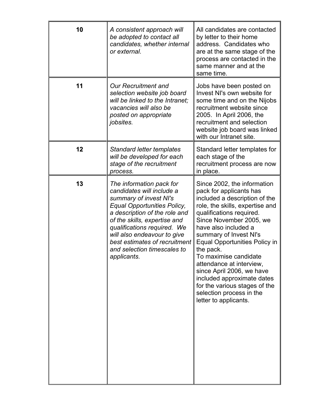| 10 | A consistent approach will<br>be adopted to contact all<br>candidates, whether internal<br>or external.                                                                                                                                                                                                                      | All candidates are contacted<br>by letter to their home<br>address. Candidates who<br>are at the same stage of the<br>process are contacted in the<br>same manner and at the<br>same time.                                                                                                                                                                                                                                                                                                     |
|----|------------------------------------------------------------------------------------------------------------------------------------------------------------------------------------------------------------------------------------------------------------------------------------------------------------------------------|------------------------------------------------------------------------------------------------------------------------------------------------------------------------------------------------------------------------------------------------------------------------------------------------------------------------------------------------------------------------------------------------------------------------------------------------------------------------------------------------|
| 11 | <b>Our Recruitment and</b><br>selection website job board<br>will be linked to the Intranet;<br>vacancies will also be<br>posted on appropriate<br>jobsites.                                                                                                                                                                 | Jobs have been posted on<br>Invest NI's own website for<br>some time and on the Nijobs<br>recruitment website since<br>2005. In April 2006, the<br>recruitment and selection<br>website job board was linked<br>with our Intranet site.                                                                                                                                                                                                                                                        |
| 12 | <b>Standard letter templates</b><br>will be developed for each<br>stage of the recruitment<br>process.                                                                                                                                                                                                                       | Standard letter templates for<br>each stage of the<br>recruitment process are now<br>in place.                                                                                                                                                                                                                                                                                                                                                                                                 |
| 13 | The information pack for<br>candidates will include a<br>summary of invest NI's<br>Equal Opportunities Policy,<br>a description of the role and<br>of the skills, expertise and<br>qualifications required. We<br>will also endeavour to give<br>best estimates of recruitment<br>and selection timescales to<br>applicants. | Since 2002, the information<br>pack for applicants has<br>included a description of the<br>role, the skills, expertise and<br>qualifications required.<br>Since November 2005, we<br>have also included a<br>summary of Invest NI's<br><b>Equal Opportunities Policy in</b><br>the pack.<br>To maximise candidate<br>attendance at interview,<br>since April 2006, we have<br>included approximate dates<br>for the various stages of the<br>selection process in the<br>letter to applicants. |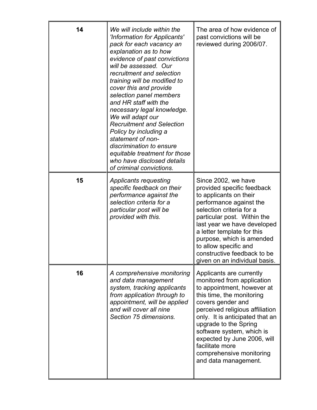| 14 | We will include within the<br>'Information for Applicants'<br>pack for each vacancy an<br>explanation as to how<br>evidence of past convictions<br>will be assessed. Our<br>recruitment and selection<br>training will be modified to<br>cover this and provide<br>selection panel members<br>and HR staff with the<br>necessary legal knowledge.<br>We will adapt our<br><b>Recruitment and Selection</b><br>Policy by including a<br>statement of non-<br>discrimination to ensure<br>equitable treatment for those<br>who have disclosed details<br>of criminal convictions. | The area of how evidence of<br>past convictions will be<br>reviewed during 2006/07.                                                                                                                                                                                                                                                                                      |
|----|---------------------------------------------------------------------------------------------------------------------------------------------------------------------------------------------------------------------------------------------------------------------------------------------------------------------------------------------------------------------------------------------------------------------------------------------------------------------------------------------------------------------------------------------------------------------------------|--------------------------------------------------------------------------------------------------------------------------------------------------------------------------------------------------------------------------------------------------------------------------------------------------------------------------------------------------------------------------|
| 15 | <b>Applicants requesting</b><br>specific feedback on their<br>performance against the<br>selection criteria for a<br>particular post will be<br>provided with this.                                                                                                                                                                                                                                                                                                                                                                                                             | Since 2002, we have<br>provided specific feedback<br>to applicants on their<br>performance against the<br>selection criteria for a<br>particular post. Within the<br>last year we have developed<br>a letter template for this<br>purpose, which is amended<br>to allow specific and<br>constructive feedback to be<br>given on an individual basis.                     |
| 16 | A comprehensive monitoring<br>and data management<br>system, tracking applicants<br>from application through to<br>appointment, will be applied<br>and will cover all nine<br>Section 75 dimensions.                                                                                                                                                                                                                                                                                                                                                                            | Applicants are currently<br>monitored from application<br>to appointment, however at<br>this time, the monitoring<br>covers gender and<br>perceived religious affiliation<br>only. It is anticipated that an<br>upgrade to the Spring<br>software system, which is<br>expected by June 2006, will<br>facilitate more<br>comprehensive monitoring<br>and data management. |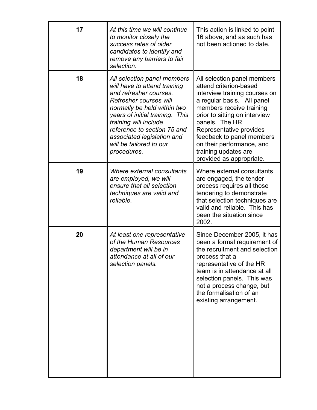| 17 | At this time we will continue<br>to monitor closely the<br>success rates of older<br>candidates to identify and<br>remove any barriers to fair<br>selection.                                                                                                                                                      | This action is linked to point<br>16 above, and as such has<br>not been actioned to date.                                                                                                                                                                                                                                                    |
|----|-------------------------------------------------------------------------------------------------------------------------------------------------------------------------------------------------------------------------------------------------------------------------------------------------------------------|----------------------------------------------------------------------------------------------------------------------------------------------------------------------------------------------------------------------------------------------------------------------------------------------------------------------------------------------|
| 18 | All selection panel members<br>will have to attend training<br>and refresher courses.<br>Refresher courses will<br>normally be held within two<br>years of initial training. This<br>training will include<br>reference to section 75 and<br>associated legislation and<br>will be tailored to our<br>procedures. | All selection panel members<br>attend criterion-based<br>interview training courses on<br>a regular basis. All panel<br>members receive training<br>prior to sitting on interview<br>panels. The HR<br>Representative provides<br>feedback to panel members<br>on their performance, and<br>training updates are<br>provided as appropriate. |
| 19 | Where external consultants<br>are employed, we will<br>ensure that all selection<br>techniques are valid and<br>reliable.                                                                                                                                                                                         | Where external consultants<br>are engaged, the tender<br>process requires all those<br>tendering to demonstrate<br>that selection techniques are<br>valid and reliable. This has<br>been the situation since<br>2002.                                                                                                                        |
| 20 | At least one representative<br>of the Human Resources<br>department will be in<br>attendance at all of our<br>selection panels.                                                                                                                                                                                   | Since December 2005, it has<br>been a formal requirement of<br>the recruitment and selection<br>process that a<br>representative of the HR<br>team is in attendance at all<br>selection panels. This was<br>not a process change, but<br>the formalisation of an<br>existing arrangement.                                                    |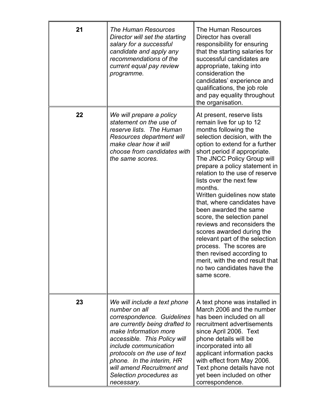| 21 | <b>The Human Resources</b><br>Director will set the starting<br>salary for a successful<br>candidate and apply any<br>recommendations of the<br>current equal pay review<br>programme.                                                                                                                                                     | <b>The Human Resources</b><br>Director has overall<br>responsibility for ensuring<br>that the starting salaries for<br>successful candidates are<br>appropriate, taking into<br>consideration the<br>candidates' experience and<br>qualifications, the job role<br>and pay equality throughout<br>the organisation.                                                                                                                                                                                                                                                                                                                                                                |
|----|--------------------------------------------------------------------------------------------------------------------------------------------------------------------------------------------------------------------------------------------------------------------------------------------------------------------------------------------|------------------------------------------------------------------------------------------------------------------------------------------------------------------------------------------------------------------------------------------------------------------------------------------------------------------------------------------------------------------------------------------------------------------------------------------------------------------------------------------------------------------------------------------------------------------------------------------------------------------------------------------------------------------------------------|
| 22 | We will prepare a policy<br>statement on the use of<br>reserve lists. The Human<br>Resources department will<br>make clear how it will<br>choose from candidates with<br>the same scores.                                                                                                                                                  | At present, reserve lists<br>remain live for up to 12<br>months following the<br>selection decision, with the<br>option to extend for a further<br>short period if appropriate.<br>The JNCC Policy Group will<br>prepare a policy statement in<br>relation to the use of reserve<br>lists over the next few<br>months.<br>Written guidelines now state<br>that, where candidates have<br>been awarded the same<br>score, the selection panel<br>reviews and reconsiders the<br>scores awarded during the<br>relevant part of the selection<br>process. The scores are<br>then revised according to<br>merit, with the end result that<br>no two candidates have the<br>same score. |
| 23 | We will include a text phone<br>number on all<br>correspondence. Guidelines<br>are currently being drafted to<br>make Information more<br>accessible. This Policy will<br><i>include communication</i><br>protocols on the use of text<br>phone. In the interim, HR<br>will amend Recruitment and<br>Selection procedures as<br>necessary. | A text phone was installed in<br>March 2006 and the number<br>has been included on all<br>recruitment advertisements<br>since April 2006. Text<br>phone details will be<br>incorporated into all<br>applicant information packs<br>with effect from May 2006.<br>Text phone details have not<br>yet been included on other<br>correspondence.                                                                                                                                                                                                                                                                                                                                      |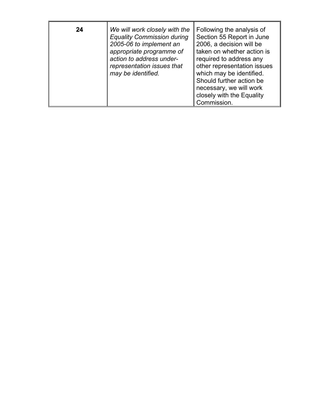| 24 | We will work closely with the<br><b>Equality Commission during</b><br>2005-06 to implement an<br>appropriate programme of<br>action to address under-<br>representation issues that<br>may be identified. | Following the analysis of<br>Section 55 Report in June<br>2006, a decision will be<br>taken on whether action is<br>required to address any<br>other representation issues<br>which may be identified.<br>Should further action be<br>necessary, we will work<br>closely with the Equality<br>Commission. |
|----|-----------------------------------------------------------------------------------------------------------------------------------------------------------------------------------------------------------|-----------------------------------------------------------------------------------------------------------------------------------------------------------------------------------------------------------------------------------------------------------------------------------------------------------|
|----|-----------------------------------------------------------------------------------------------------------------------------------------------------------------------------------------------------------|-----------------------------------------------------------------------------------------------------------------------------------------------------------------------------------------------------------------------------------------------------------------------------------------------------------|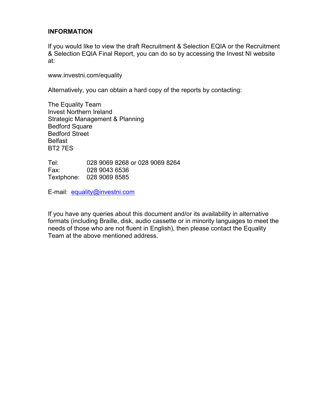#### **INFORMATION**

If you would like to view the draft Recruitment & Selection EQIA or the Recruitment & Selection EQIA Final Report, you can do so by accessing the Invest NI website at:

www.investni.com/equality

Alternatively, you can obtain a hard copy of the reports by contacting:

The Equality Team Invest Northern Ireland Strategic Management & Planning Bedford Square Bedford Street Belfast BT2 7ES

Tel: 028 9069 8268 or 028 9069 8264 Fax: 028 9043 6536 Textphone: 028 9069 8585

E-mail: equality@investni.com

If you have any queries about this document and/or its availability in alternative formats (including Braille, disk, audio cassette or in minority languages to meet the needs of those who are not fluent in English), then please contact the Equality Team at the above mentioned address.